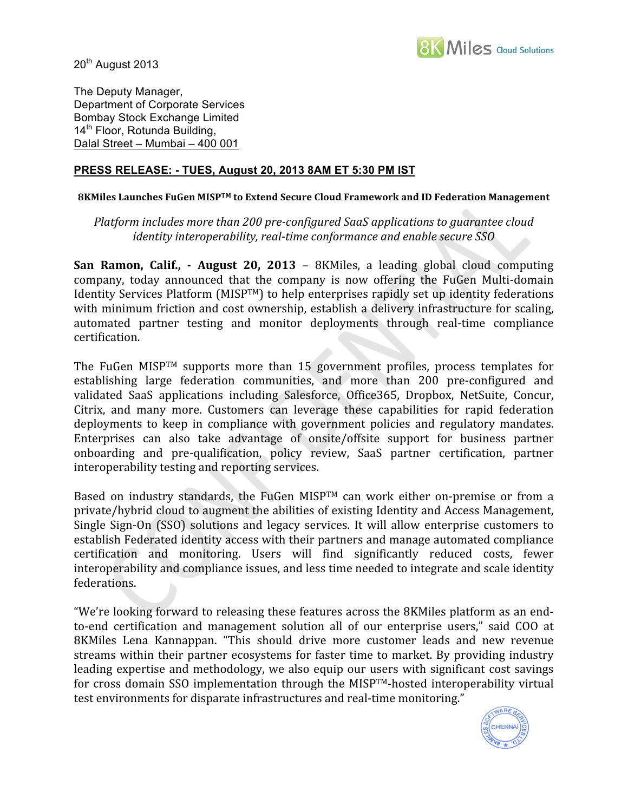

20<sup>th</sup> August 2013

The Deputy Manager, Department of Corporate Services Bombay Stock Exchange Limited 14<sup>th</sup> Floor, Rotunda Building, Dalal Street – Mumbai – 400 001

## **PRESS RELEASE: - TUES, August 20, 2013 8AM ET 5:30 PM IST**

## 8KMiles Launches FuGen MISP™ to Extend Secure Cloud Framework and ID Federation Management

## Platform includes more than 200 pre-configured SaaS applications to guarantee cloud *identity interoperability, real-time conformance and enable secure SSO*

**San Ramon, Calif., • August 20, 2013** – 8KMiles, a leading global cloud computing company,
 today
 announced
 that
 the
 company
 is
 now
 offering
 the
 FuGen
 Multi‐domain Identity Services Platform (MISP<sup>TM</sup>) to help enterprises rapidly set up identity federations with minimum friction and cost ownership, establish a delivery infrastructure for scaling, automated
 partner
 testing and
 monitor
 deployments
 through
 real‐time
 compliance certification.

The FuGen MISP™ supports more than 15 government profiles, process templates for establishing large federation communities, and more than 200 pre-configured and validated SaaS applications including Salesforce, Office365, Dropbox, NetSuite, Concur, Citrix, and many more. Customers can leverage these capabilities for rapid federation deployments to keep in compliance with government policies and regulatory mandates. Enterprises can also take advantage of onsite/offsite support for business partner onboarding
 and
 pre‐qualification,
 policy
 review,
 SaaS
 partner
 certification,
 partner interoperability
testing
and
reporting
services.

Based on industry standards, the FuGen MISP™ can work either on-premise or from a private/hybrid
cloud
to
augment
the
abilities
of
existing
Identity
and
Access
Management, Single Sign-On (SSO) solutions and legacy services. It will allow enterprise customers to establish
Federated
identity
access
with
their
partners
and
manage
automated
compliance certification
 and
 monitoring.
 Users
 will
 find
 significantly
 reduced
 costs,
 fewer interoperability and compliance issues, and less time needed to integrate and scale identity federations.

"We're looking forward to releasing these features across the 8KMiles platform as an endto-end certification and management solution all of our enterprise users," said COO at 8KMiles Lena Kannappan. "This should drive more customer leads and new revenue streams within their partner ecosystems for faster time to market. By providing industry leading expertise and methodology, we also equip our users with significant cost savings for cross domain SSO implementation through the MISP™-hosted interoperability virtual test
environments
for
disparate
infrastructures
and
real‐time
monitoring."